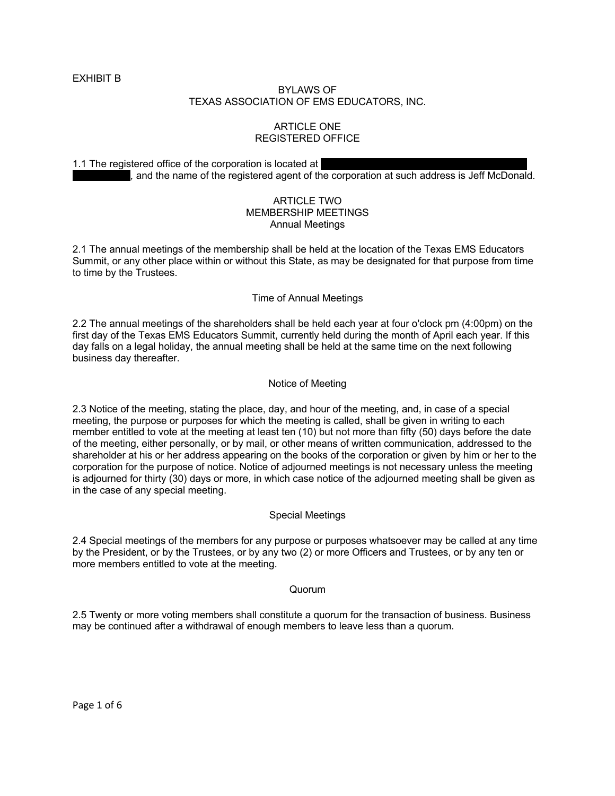EXHIBIT B

# BYLAWS OF TEXAS ASSOCIATION OF EMS EDUCATORS, INC.

# ARTICLE ONE REGISTERED OFFICE

1.1 The registered office of the corporation is located at . and the name of the registered agent of the corporation at such address is Jeff McDonald.

# ARTICLE TWO MEMBERSHIP MEETINGS Annual Meetings

2.1 The annual meetings of the membership shall be held at the location of the Texas EMS Educators Summit, or any other place within or without this State, as may be designated for that purpose from time to time by the Trustees.

# Time of Annual Meetings

2.2 The annual meetings of the shareholders shall be held each year at four o'clock pm (4:00pm) on the first day of the Texas EMS Educators Summit, currently held during the month of April each year. If this day falls on a legal holiday, the annual meeting shall be held at the same time on the next following business day thereafter.

# Notice of Meeting

2.3 Notice of the meeting, stating the place, day, and hour of the meeting, and, in case of a special meeting, the purpose or purposes for which the meeting is called, shall be given in writing to each member entitled to vote at the meeting at least ten (10) but not more than fifty (50) days before the date of the meeting, either personally, or by mail, or other means of written communication, addressed to the shareholder at his or her address appearing on the books of the corporation or given by him or her to the corporation for the purpose of notice. Notice of adjourned meetings is not necessary unless the meeting is adjourned for thirty (30) days or more, in which case notice of the adjourned meeting shall be given as in the case of any special meeting.

#### Special Meetings

2.4 Special meetings of the members for any purpose or purposes whatsoever may be called at any time by the President, or by the Trustees, or by any two (2) or more Officers and Trustees, or by any ten or more members entitled to vote at the meeting.

#### Quorum

2.5 Twenty or more voting members shall constitute a quorum for the transaction of business. Business may be continued after a withdrawal of enough members to leave less than a quorum.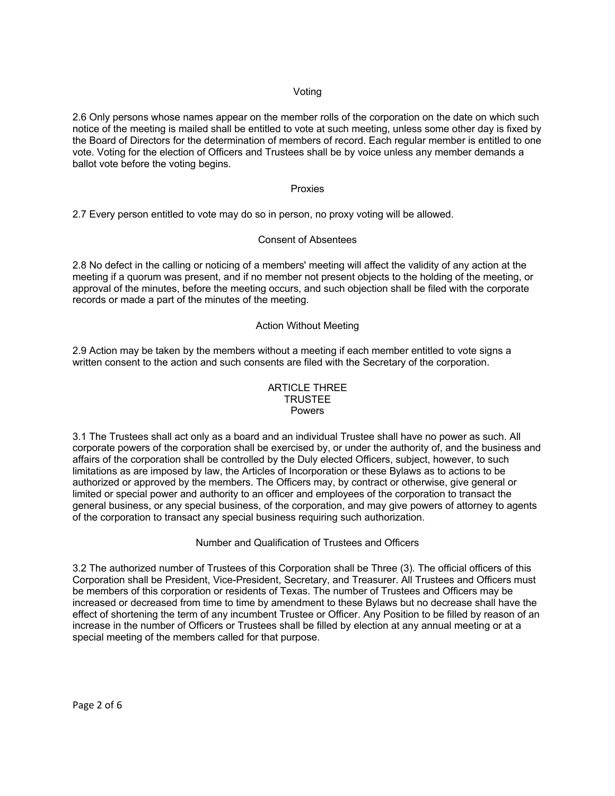## Voting

2.6 Only persons whose names appear on the member rolls of the corporation on the date on which such notice of the meeting is mailed shall be entitled to vote at such meeting, unless some other day is fixed by the Board of Directors for the determination of members of record. Each regular member is entitled to one vote. Voting for the election of Officers and Trustees shall be by voice unless any member demands a ballot vote before the voting begins.

#### Proxies

2.7 Every person entitled to vote may do so in person, no proxy voting will be allowed.

#### Consent of Absentees

2.8 No defect in the calling or noticing of a members' meeting will affect the validity of any action at the meeting if a quorum was present, and if no member not present objects to the holding of the meeting, or approval of the minutes, before the meeting occurs, and such objection shall be filed with the corporate records or made a part of the minutes of the meeting.

#### Action Without Meeting

2.9 Action may be taken by the members without a meeting if each member entitled to vote signs a written consent to the action and such consents are filed with the Secretary of the corporation.

#### ARTICLE THREE TRUSTEE Powers

3.1 The Trustees shall act only as a board and an individual Trustee shall have no power as such. All corporate powers of the corporation shall be exercised by, or under the authority of, and the business and affairs of the corporation shall be controlled by the Duly elected Officers, subject, however, to such limitations as are imposed by law, the Articles of Incorporation or these Bylaws as to actions to be authorized or approved by the members. The Officers may, by contract or otherwise, give general or limited or special power and authority to an officer and employees of the corporation to transact the general business, or any special business, of the corporation, and may give powers of attorney to agents of the corporation to transact any special business requiring such authorization.

#### Number and Qualification of Trustees and Officers

3.2 The authorized number of Trustees of this Corporation shall be Three (3)*.* The official officers of this Corporation shall be President, Vice-President, Secretary, and Treasurer. All Trustees and Officers must be members of this corporation or residents of Texas. The number of Trustees and Officers may be increased or decreased from time to time by amendment to these Bylaws but no decrease shall have the effect of shortening the term of any incumbent Trustee or Officer. Any Position to be filled by reason of an increase in the number of Officers or Trustees shall be filled by election at any annual meeting or at a special meeting of the members called for that purpose.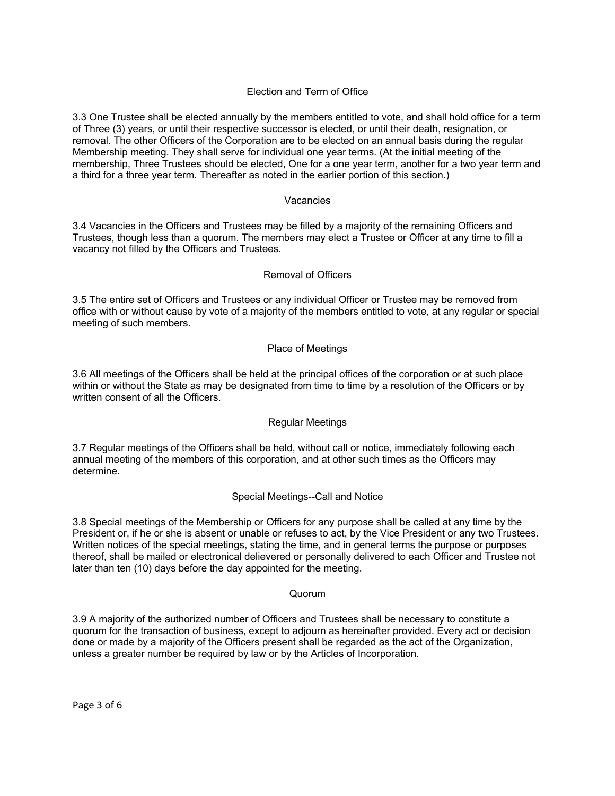# Election and Term of Office

3.3 One Trustee shall be elected annually by the members entitled to vote, and shall hold office for a term of Three (3) years, or until their respective successor is elected, or until their death, resignation, or removal. The other Officers of the Corporation are to be elected on an annual basis during the regular Membership meeting. They shall serve for individual one year terms. (At the initial meeting of the membership, Three Trustees should be elected, One for a one year term, another for a two year term and a third for a three year term. Thereafter as noted in the earlier portion of this section.)

#### Vacancies

3.4 Vacancies in the Officers and Trustees may be filled by a majority of the remaining Officers and Trustees, though less than a quorum. The members may elect a Trustee or Officer at any time to fill a vacancy not filled by the Officers and Trustees.

# Removal of Officers

3.5 The entire set of Officers and Trustees or any individual Officer or Trustee may be removed from office with or without cause by vote of a majority of the members entitled to vote, at any regular or special meeting of such members.

# Place of Meetings

3.6 All meetings of the Officers shall be held at the principal offices of the corporation or at such place within or without the State as may be designated from time to time by a resolution of the Officers or by written consent of all the Officers.

#### Regular Meetings

3.7 Regular meetings of the Officers shall be held, without call or notice, immediately following each annual meeting of the members of this corporation, and at other such times as the Officers may determine.

#### Special Meetings--Call and Notice

3.8 Special meetings of the Membership or Officers for any purpose shall be called at any time by the President or, if he or she is absent or unable or refuses to act, by the Vice President or any two Trustees. Written notices of the special meetings, stating the time, and in general terms the purpose or purposes thereof, shall be mailed or electronical delievered or personally delivered to each Officer and Trustee not later than ten (10) days before the day appointed for the meeting.

#### Quorum

3.9 A majority of the authorized number of Officers and Trustees shall be necessary to constitute a quorum for the transaction of business, except to adjourn as hereinafter provided. Every act or decision done or made by a majority of the Officers present shall be regarded as the act of the Organization, unless a greater number be required by law or by the Articles of Incorporation.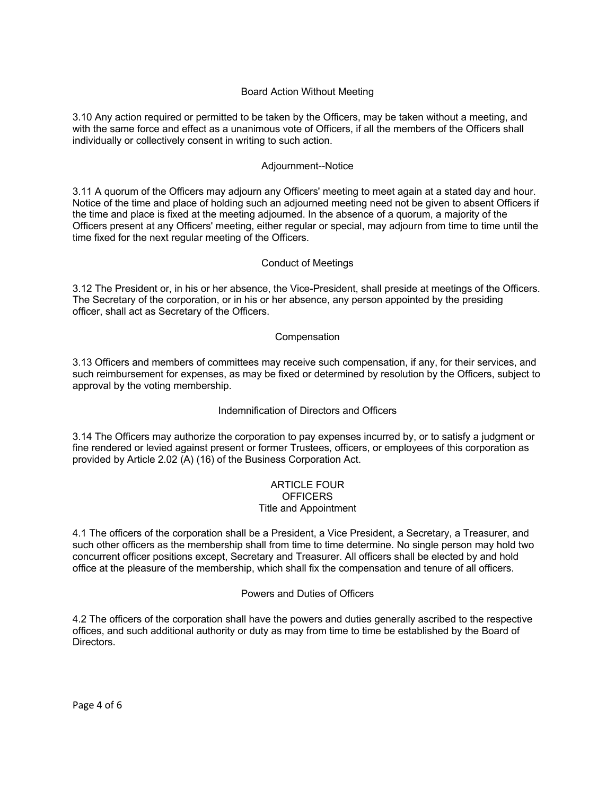# Board Action Without Meeting

3.10 Any action required or permitted to be taken by the Officers, may be taken without a meeting, and with the same force and effect as a unanimous vote of Officers, if all the members of the Officers shall individually or collectively consent in writing to such action.

## Adjournment--Notice

3.11 A quorum of the Officers may adjourn any Officers' meeting to meet again at a stated day and hour. Notice of the time and place of holding such an adjourned meeting need not be given to absent Officers if the time and place is fixed at the meeting adjourned. In the absence of a quorum, a majority of the Officers present at any Officers' meeting, either regular or special, may adjourn from time to time until the time fixed for the next regular meeting of the Officers.

# Conduct of Meetings

3.12 The President or, in his or her absence, the Vice-President, shall preside at meetings of the Officers. The Secretary of the corporation, or in his or her absence, any person appointed by the presiding officer, shall act as Secretary of the Officers.

# **Compensation**

3.13 Officers and members of committees may receive such compensation, if any, for their services, and such reimbursement for expenses, as may be fixed or determined by resolution by the Officers, subject to approval by the voting membership.

#### Indemnification of Directors and Officers

3.14 The Officers may authorize the corporation to pay expenses incurred by, or to satisfy a judgment or fine rendered or levied against present or former Trustees, officers, or employees of this corporation as provided by Article 2.02 (A) (16) of the Business Corporation Act.

#### ARTICLE FOUR **OFFICERS** Title and Appointment

4.1 The officers of the corporation shall be a President, a Vice President, a Secretary, a Treasurer, and such other officers as the membership shall from time to time determine. No single person may hold two concurrent officer positions except, Secretary and Treasurer. All officers shall be elected by and hold office at the pleasure of the membership, which shall fix the compensation and tenure of all officers.

#### Powers and Duties of Officers

4.2 The officers of the corporation shall have the powers and duties generally ascribed to the respective offices, and such additional authority or duty as may from time to time be established by the Board of Directors.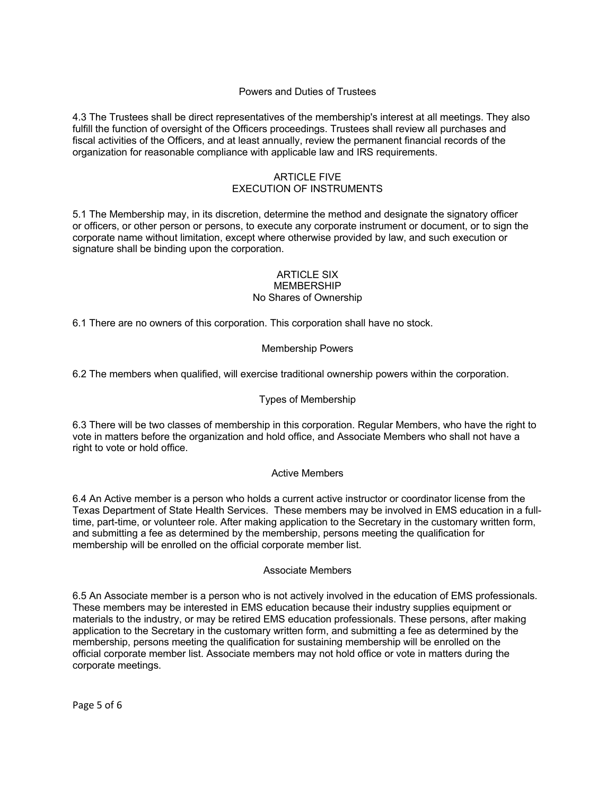# Powers and Duties of Trustees

4.3 The Trustees shall be direct representatives of the membership's interest at all meetings. They also fulfill the function of oversight of the Officers proceedings. Trustees shall review all purchases and fiscal activities of the Officers, and at least annually, review the permanent financial records of the organization for reasonable compliance with applicable law and IRS requirements.

## ARTICLE FIVE EXECUTION OF INSTRUMENTS

5.1 The Membership may, in its discretion, determine the method and designate the signatory officer or officers, or other person or persons, to execute any corporate instrument or document, or to sign the corporate name without limitation, except where otherwise provided by law, and such execution or signature shall be binding upon the corporation.

## ARTICLE SIX MEMBERSHIP No Shares of Ownership

6.1 There are no owners of this corporation. This corporation shall have no stock.

# Membership Powers

6.2 The members when qualified, will exercise traditional ownership powers within the corporation.

## Types of Membership

6.3 There will be two classes of membership in this corporation. Regular Members, who have the right to vote in matters before the organization and hold office, and Associate Members who shall not have a right to vote or hold office.

#### Active Members

6.4 An Active member is a person who holds a current active instructor or coordinator license from the Texas Department of State Health Services. These members may be involved in EMS education in a fulltime, part-time, or volunteer role. After making application to the Secretary in the customary written form, and submitting a fee as determined by the membership, persons meeting the qualification for membership will be enrolled on the official corporate member list.

#### Associate Members

6.5 An Associate member is a person who is not actively involved in the education of EMS professionals. These members may be interested in EMS education because their industry supplies equipment or materials to the industry, or may be retired EMS education professionals. These persons, after making application to the Secretary in the customary written form, and submitting a fee as determined by the membership, persons meeting the qualification for sustaining membership will be enrolled on the official corporate member list. Associate members may not hold office or vote in matters during the corporate meetings.

Page 5 of 6